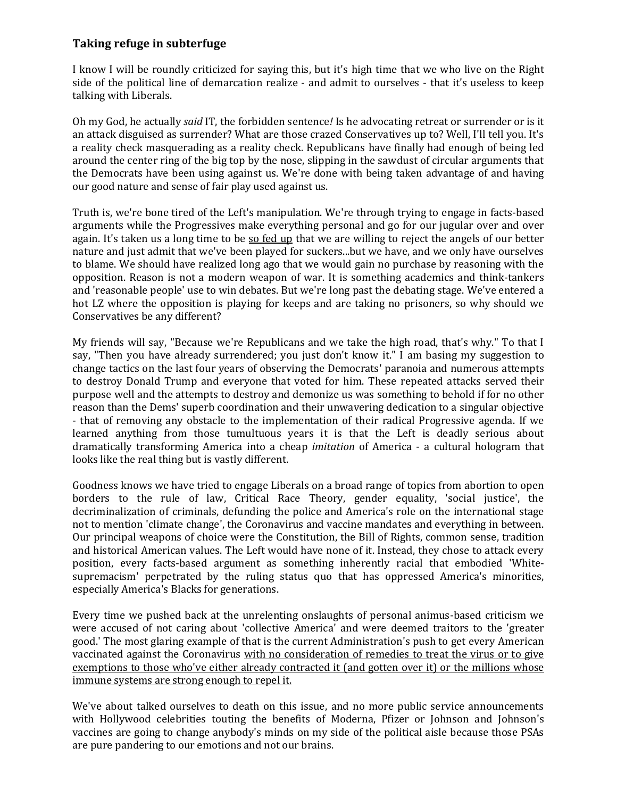## **Taking refuge in subterfuge**

I know I will be roundly criticized for saying this, but it's high time that we who live on the Right side of the political line of demarcation realize - and admit to ourselves - that it's useless to keep talking with Liberals.

Oh my God, he actually *said* IT, the forbidden sentence*!* Is he advocating retreat or surrender or is it an attack disguised as surrender? What are those crazed Conservatives up to? Well, I'll tell you. It's a reality check masquerading as a reality check. Republicans have finally had enough of being led around the center ring of the big top by the nose, slipping in the sawdust of circular arguments that the Democrats have been using against us. We're done with being taken advantage of and having our good nature and sense of fair play used against us.

Truth is, we're bone tired of the Left's manipulation. We're through trying to engage in facts-based arguments while the Progressives make everything personal and go for our jugular over and over again. It's taken us a long time to be so fed up that we are willing to reject the angels of our better nature and just admit that we've been played for suckers...but we have, and we only have ourselves to blame. We should have realized long ago that we would gain no purchase by reasoning with the opposition. Reason is not a modern weapon of war. It is something academics and think-tankers and 'reasonable people' use to win debates. But we're long past the debating stage. We've entered a hot LZ where the opposition is playing for keeps and are taking no prisoners, so why should we Conservatives be any different?

My friends will say, "Because we're Republicans and we take the high road, that's why." To that I say, "Then you have already surrendered; you just don't know it." I am basing my suggestion to change tactics on the last four years of observing the Democrats' paranoia and numerous attempts to destroy Donald Trump and everyone that voted for him. These repeated attacks served their purpose well and the attempts to destroy and demonize us was something to behold if for no other reason than the Dems' superb coordination and their unwavering dedication to a singular objective - that of removing any obstacle to the implementation of their radical Progressive agenda. If we learned anything from those tumultuous years it is that the Left is deadly serious about dramatically transforming America into a cheap *imitation* of America - a cultural hologram that looks like the real thing but is vastly different.

Goodness knows we have tried to engage Liberals on a broad range of topics from abortion to open borders to the rule of law, Critical Race Theory, gender equality, 'social justice', the decriminalization of criminals, defunding the police and America's role on the international stage not to mention 'climate change', the Coronavirus and vaccine mandates and everything in between. Our principal weapons of choice were the Constitution, the Bill of Rights, common sense, tradition and historical American values. The Left would have none of it. Instead, they chose to attack every position, every facts-based argument as something inherently racial that embodied 'Whitesupremacism' perpetrated by the ruling status quo that has oppressed America's minorities, especially America's Blacks for generations.

Every time we pushed back at the unrelenting onslaughts of personal animus-based criticism we were accused of not caring about 'collective America' and were deemed traitors to the 'greater good.' The most glaring example of that is the current Administration's push to get every American vaccinated against the Coronavirus with no consideration of remedies to treat the virus or to give exemptions to those who've either already contracted it (and gotten over it) or the millions whose immune systems are strong enough to repel it.

We've about talked ourselves to death on this issue, and no more public service announcements with Hollywood celebrities touting the benefits of Moderna, Pfizer or Johnson and Johnson's vaccines are going to change anybody's minds on my side of the political aisle because those PSAs are pure pandering to our emotions and not our brains.